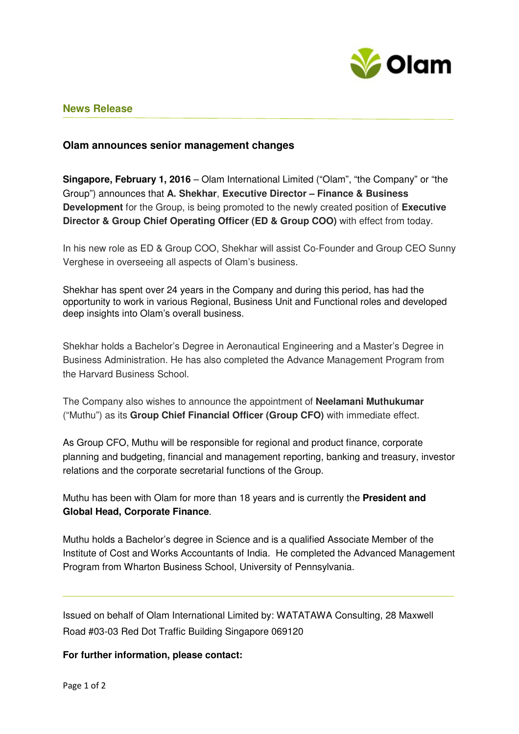

# **News Release**

## **Olam announces senior management changes**

**Singapore, February 1, 2016** – Olam International Limited ("Olam", "the Company" or "the Group") announces that **A. Shekhar**, **Executive Director – Finance & Business Development** for the Group, is being promoted to the newly created position of **Executive Director & Group Chief Operating Officer (ED & Group COO)** with effect from today.

In his new role as ED & Group COO, Shekhar will assist Co-Founder and Group CEO Sunny Verghese in overseeing all aspects of Olam's business.

Shekhar has spent over 24 years in the Company and during this period, has had the opportunity to work in various Regional, Business Unit and Functional roles and developed deep insights into Olam's overall business.

Shekhar holds a Bachelor's Degree in Aeronautical Engineering and a Master's Degree in Business Administration. He has also completed the Advance Management Program from the Harvard Business School.

The Company also wishes to announce the appointment of **Neelamani Muthukumar** ("Muthu") as its **Group Chief Financial Officer (Group CFO)** with immediate effect.

As Group CFO, Muthu will be responsible for regional and product finance, corporate planning and budgeting, financial and management reporting, banking and treasury, investor relations and the corporate secretarial functions of the Group.

Muthu has been with Olam for more than 18 years and is currently the **President and Global Head, Corporate Finance**.

Muthu holds a Bachelor's degree in Science and is a qualified Associate Member of the Institute of Cost and Works Accountants of India. He completed the Advanced Management Program from Wharton Business School, University of Pennsylvania.

Issued on behalf of Olam International Limited by: WATATAWA Consulting, 28 Maxwell Road #03-03 Red Dot Traffic Building Singapore 069120

### **For further information, please contact:**